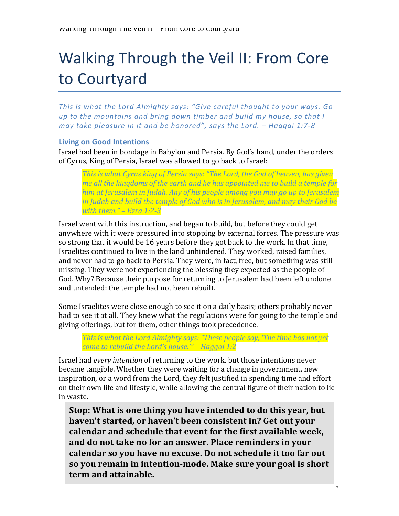# Walking Through the Veil II: From Core to Courtyard

*This* is what the Lord Almighty says: "Give careful thought to your ways. Go *up* to the mountains and bring down timber and build my house, so that I *may* take pleasure in it and be honored", says the Lord. – Haggai 1:7-8

# **Living on Good Intentions**

Israel had been in bondage in Babylon and Persia. By God's hand, under the orders of Cyrus, King of Persia, Israel was allowed to go back to Israel:

*This is what Cyrus king of Persia says: "The Lord, the God of heaven, has given me all the kingdoms of the earth and he has appointed me to build a temple for* him at Jerusalem in Judah. Any of his people among you may go up to Jerusalem *in Judah and build the temple of God who is in Jerusalem, and may their God be with them." – Ezra 1:2-3*

Israel went with this instruction, and began to build, but before they could get anywhere with it were pressured into stopping by external forces. The pressure was so strong that it would be 16 years before they got back to the work. In that time, Israelites continued to live in the land unhindered. They worked, raised families, and never had to go back to Persia. They were, in fact, free, but something was still missing. They were not experiencing the blessing they expected as the people of God. Why? Because their purpose for returning to Jerusalem had been left undone and untended: the temple had not been rebuilt.

Some Israelites were close enough to see it on a daily basis; others probably never had to see it at all. They knew what the regulations were for going to the temple and giving offerings, but for them, other things took precedence.

*This* is what the Lord Almighty says: "These people say, 'The time has not yet *come to rebuild the Lord's house."' – Haggai 1:2* 

Israel had *every intention* of returning to the work, but those intentions never became tangible. Whether they were waiting for a change in government, new inspiration, or a word from the Lord, they felt justified in spending time and effort on their own life and lifestyle, while allowing the central figure of their nation to lie in waste. 

**Stop:** What is one thing you have intended to do this year, but haven't started, or haven't been consistent in? Get out your calendar and schedule that event for the first available week, and do not take no for an answer. Place reminders in your calendar so you have no excuse. Do not schedule it too far out **so vou remain in intention-mode. Make sure your goal is short term** and attainable.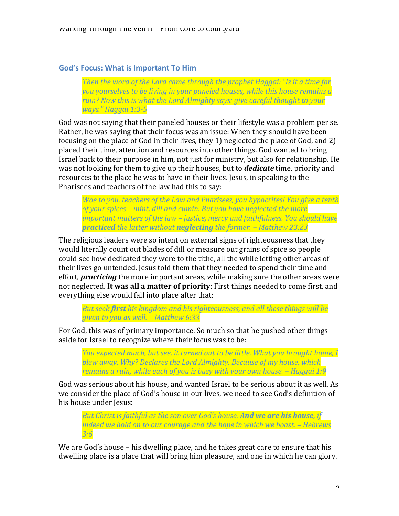# God's Focus: What is Important To Him

*Then the word of the Lord came through the prophet Haggai: "Is it a time for you yourselves to be living in your paneled houses, while this house remains a ruin?* Now this is what the Lord Almighty says: give careful thought to your *ways." Haggai 1:3-5*

God was not saying that their paneled houses or their lifestyle was a problem per se. Rather, he was saying that their focus was an issue: When they should have been focusing on the place of God in their lives, they 1) neglected the place of God, and 2) placed their time, attention and resources into other things. God wanted to bring Israel back to their purpose in him, not just for ministry, but also for relationship. He was not looking for them to give up their houses, but to *dedicate* time, priority and resources to the place he was to have in their lives. Jesus, in speaking to the Pharisees and teachers of the law had this to say:

*Woe to you, teachers of the Law and Pharisees, you hypocrites! You give a tenth* of your spices – mint, dill and cumin. But you have neglected the more *important matters of the law – justice, mercy and faithfulness. You should have practiced* the latter without **neglecting** the former. – Matthew 23:23

The religious leaders were so intent on external signs of righteousness that they would literally count out blades of dill or measure out grains of spice so people could see how dedicated they were to the tithe, all the while letting other areas of their lives go untended. Jesus told them that they needed to spend their time and effort, *practicing* the more important areas, while making sure the other areas were not neglected. It was all a matter of priority: First things needed to come first, and everything else would fall into place after that:

*But seek first his kingdom and his righteousness, and all these things will be given to you as well.* – Matthew 6:33

For God, this was of primary importance. So much so that he pushed other things aside for Israel to recognize where their focus was to be:

*You expected much, but see, it turned out to be little. What you brought home, I blew away.* Why? Declares the Lord Almighty. Because of my house, which *remains a ruin, while each of you is busy with your own house.* – *Haggai* 1:9

God was serious about his house, and wanted Israel to be serious about it as well. As we consider the place of God's house in our lives, we need to see God's definition of his house under Jesus:

*But Christ is faithful as the son over God's house.* And we are his house, if *indeed* we hold on to our courage and the hope in which we boast. – Hebrews *3:6*

We are God's house – his dwelling place, and he takes great care to ensure that his dwelling place is a place that will bring him pleasure, and one in which he can glory.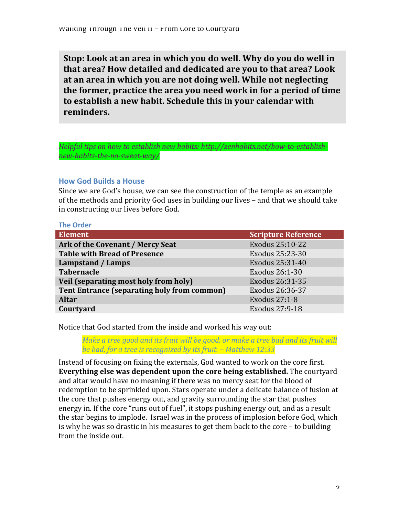**Stop:** Look at an area in which you do well. Why do you do well in **that area?** How detailed and dedicated are you to that area? Look at an area in which you are not doing well. While not neglecting the former, practice the area you need work in for a period of time to establish a new habit. Schedule this in your calendar with **reminders.**

Helpful tips on how to establish new habits: http://zenhabits.net/how-to-establish*new-habits-the-no-sweat-way/*

# **How God Builds a House**

Since we are God's house, we can see the construction of the temple as an example of the methods and priority God uses in building our lives – and that we should take in constructing our lives before God.

| <b>The Order</b>                                   |                            |
|----------------------------------------------------|----------------------------|
| <b>Element</b>                                     | <b>Scripture Reference</b> |
| Ark of the Covenant / Mercy Seat                   | Exodus 25:10-22            |
| <b>Table with Bread of Presence</b>                | Exodus 25:23-30            |
| Lampstand / Lamps                                  | Exodus 25:31-40            |
| <b>Tabernacle</b>                                  | Exodus 26:1-30             |
| Veil (separating most holy from holy)              | Exodus 26:31-35            |
| <b>Tent Entrance (separating holy from common)</b> | Exodus 26:36-37            |
| <b>Altar</b>                                       | Exodus 27:1-8              |
| Courtyard                                          | Exodus 27:9-18             |

Notice that God started from the inside and worked his way out:

*Make a tree good and its fruit will be good, or make a tree bad and its fruit will be bad, for a tree is recognized by its fruit.* – Matthew 12:33

Instead of focusing on fixing the externals, God wanted to work on the core first. **Everything else was dependent upon the core being established.** The courtyard and altar would have no meaning if there was no mercy seat for the blood of redemption to be sprinkled upon. Stars operate under a delicate balance of fusion at the core that pushes energy out, and gravity surrounding the star that pushes energy in. If the core "runs out of fuel", it stops pushing energy out, and as a result the star begins to implode. Israel was in the process of implosion before God, which is why he was so drastic in his measures to get them back to the core  $-$  to building from the inside out.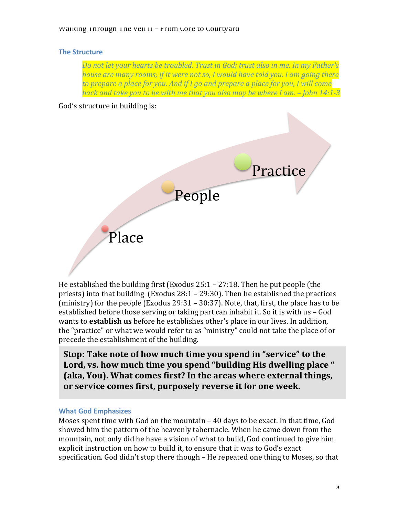## **The Structure**

Do not let your hearts be troubled. Trust in God; trust also in me. In my Father's *house are many rooms; if it were not so, I would have told you. I am going there* to prepare a place for you. And if I go and prepare a place for you, I will come *back and take you to be with me that you also may be where I am.* – *John 14:1-3* 

### God's structure in building is:



He established the building first (Exodus  $25:1 - 27:18$ . Then he put people (the priests) into that building (Exodus  $28:1 - 29:30$ ). Then he established the practices (ministry) for the people (Exodus  $29:31 - 30:37$ ). Note, that, first, the place has to be established before those serving or taking part can inhabit it. So it is with  $us - God$ wants to **establish us** before he establishes other's place in our lives. In addition, the "practice" or what we would refer to as "ministry" could not take the place of or precede the establishment of the building.

Stop: Take note of how much time you spend in "service" to the Lord, vs. how much time you spend "building His dwelling place " **(aka, You). What comes first? In the areas where external things,** or service comes first, purposely reverse it for one week.

#### **What God Emphasizes**

Moses spent time with God on the mountain  $-$  40 days to be exact. In that time, God showed him the pattern of the heavenly tabernacle. When he came down from the mountain, not only did he have a vision of what to build, God continued to give him explicit instruction on how to build it, to ensure that it was to God's exact specification. God didn't stop there though – He repeated one thing to Moses, so that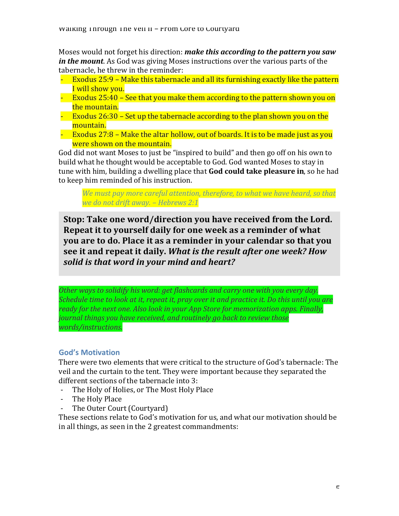Moses would not forget his direction: *make this according to the pattern you saw in the mount*. As God was giving Moses instructions over the various parts of the tabernacle, he threw in the reminder:

- Exodus  $25:9$  Make this tabernacle and all its furnishing exactly like the pattern I will show you.
- Exodus  $25:40$  See that you make them according to the pattern shown you on the mountain.
- Exodus  $26:30$  Set up the tabernacle according to the plan shown you on the mountain.
- Exodus  $27:8$  Make the altar hollow, out of boards. It is to be made just as you were shown on the mountain.

God did not want Moses to just be "inspired to build" and then go off on his own to build what he thought would be acceptable to God. God wanted Moses to stay in tune with him, building a dwelling place that **God could take pleasure in**, so he had to keep him reminded of his instruction.

*We must pay more careful attention, therefore, to what we have heard, so that we do not drift away. – Hebrews 2:1*

**Stop: Take one word/direction you have received from the Lord. Repeat it to yourself daily for one week as a reminder of what you are to do. Place it as a reminder in your calendar so that you** see it and repeat it daily. What is the result after one week? How solid is that word in your mind and heart?

*Other* ways to solidify his word: get flashcards and carry one with you every day. *Schedule time to look at it, repeat it, pray over it and practice it. Do this until you are ready for the next one. Also look in your App Store for memorization apps. Finally, journal things you have received, and routinely go back to review those words/instructions.*

# **God's Motivation**

There were two elements that were critical to the structure of God's tabernacle: The veil and the curtain to the tent. They were important because they separated the different sections of the tabernacle into 3:

- The Holy of Holies, or The Most Holy Place
- The Holy Place
- The Outer Court (Courtyard)

These sections relate to God's motivation for us, and what our motivation should be in all things, as seen in the 2 greatest commandments: